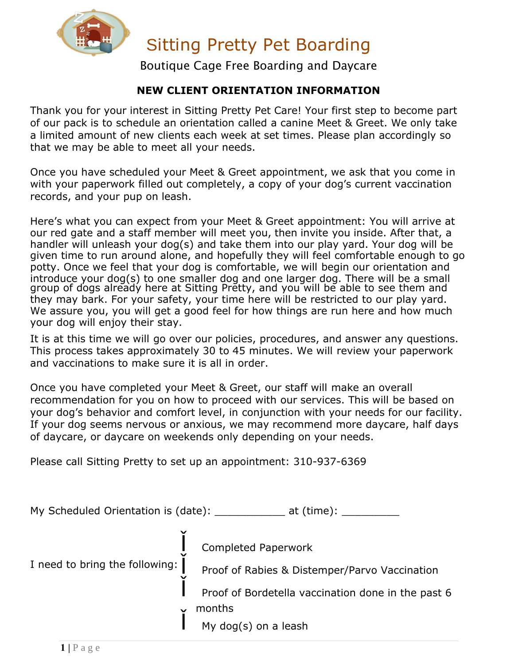

Boutique Cage Free Boarding and Daycare

#### **NEW CLIENT ORIENTATION INFORMATION**

Thank you for your interest in Sitting Pretty Pet Care! Your first step to become part of our pack is to schedule an orientation called a canine Meet & Greet. We only take a limited amount of new clients each week at set times. Please plan accordingly so that we may be able to meet all your needs.

Once you have scheduled your Meet & Greet appointment, we ask that you come in with your paperwork filled out completely, a copy of your dog's current vaccination records, and your pup on leash.

Here's what you can expect from your Meet & Greet appointment: You will arrive at our red gate and a staff member will meet you, then invite you inside. After that, a handler will unleash your dog(s) and take them into our play yard. Your dog will be given time to run around alone, and hopefully they will feel comfortable enough to go potty. Once we feel that your dog is comfortable, we will begin our orientation and introduce your dog(s) to one smaller dog and one larger dog. There will be a small group of dogs already here at Sitting Pretty, and you will be able to see them and they may bark. For your safety, your time here will be restricted to our play yard. We assure you, you will get a good feel for how things are run here and how much your dog will enjoy their stay.

It is at this time we will go over our policies, procedures, and answer any questions. This process takes approximately 30 to 45 minutes. We will review your paperwork and vaccinations to make sure it is all in order.

Once you have completed your Meet & Greet, our staff will make an overall recommendation for you on how to proceed with our services. This will be based on your dog's behavior and comfort level, in conjunction with your needs for our facility. If your dog seems nervous or anxious, we may recommend more daycare, half days of daycare, or daycare on weekends only depending on your needs.

Please call Sitting Pretty to set up an appointment: 310-937-6369

My Scheduled Orientation is (date): \_\_\_\_\_\_\_\_\_\_\_\_ at (time): \_\_

Completed Paperwork

I need to bring the following:

Proof of Rabies & Distemper/Parvo Vaccination

Proof of Bordetella vaccination done in the past 6 months

My dog(s) on a leash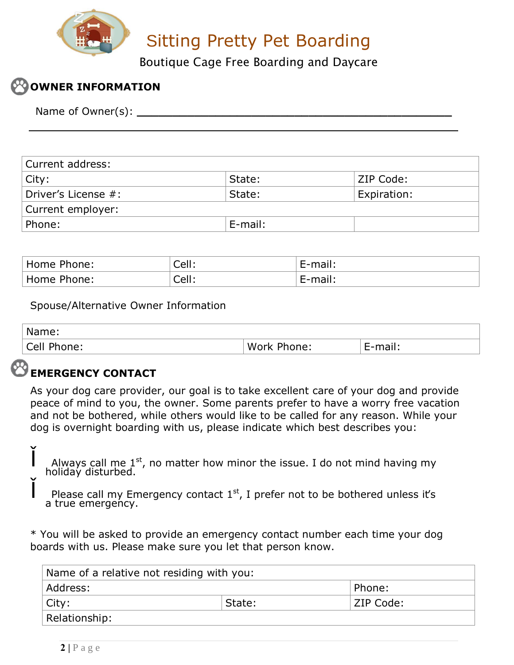

Boutique Cage Free Boarding and Daycare

## **OWNER INFORMATION**

Name of Owner(s):

| Current address:    |         |             |
|---------------------|---------|-------------|
| $ $ City:           | State:  | ZIP Code:   |
| Driver's License #: | State:  | Expiration: |
| Current employer:   |         |             |
| Phone:              | E-mail: |             |

| ' Home <sub>1</sub><br>Phone: | $^{\circ}$ Cell . | ⊶ ⊢-mail:<br>ннан. |
|-------------------------------|-------------------|--------------------|
| Phone:                        | $\cap$ all        | יייפר ח−           |
| Home                          | uu J              | . 1911             |

Spouse/Alternative Owner Information

| Name:       |             |         |
|-------------|-------------|---------|
| Cell Phone: | Work Phone: | E-mail. |

#### **EMERGENCY CONTACT**

As your dog care provider, our goal is to take excellent care of your dog and provide peace of mind to you, the owner. Some parents prefer to have a worry free vacation and not be bothered, while others would like to be called for any reason. While your dog is overnight boarding with us, please indicate which best describes you:

Always call me  $1^{st}$ , no matter how minor the issue. I do not mind having my holiday disturbed.

Please call my Emergency contact  $1<sup>st</sup>$ , I prefer not to be bothered unless it's a true emergency.

\* You will be asked to provide an emergency contact number each time your dog boards with us. Please make sure you let that person know.

| Name of a relative not residing with you: |        |           |  |  |
|-------------------------------------------|--------|-----------|--|--|
| Address:                                  |        | Phone:    |  |  |
| City:                                     | State: | ZIP Code: |  |  |
| Relationship:                             |        |           |  |  |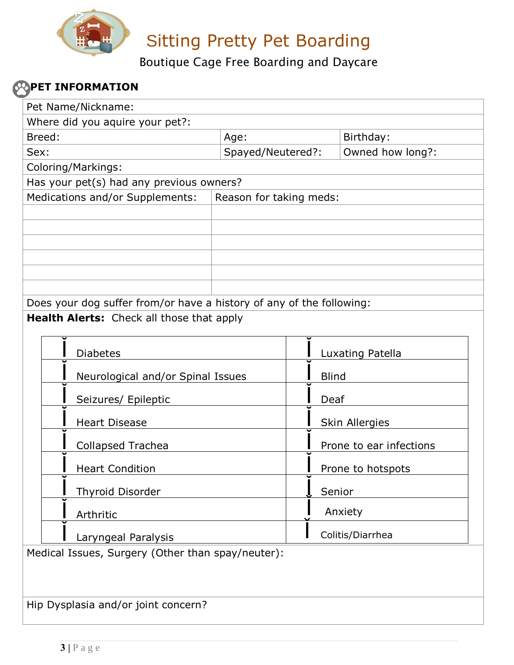

Boutique Cage Free Boarding and Daycare

### **POPET INFORMATION**

| Pet Name/Nickname:                                                   |                         |              |                         |
|----------------------------------------------------------------------|-------------------------|--------------|-------------------------|
| Where did you aquire your pet?:                                      |                         |              |                         |
| Breed:                                                               | Age:                    |              | Birthday:               |
| Sex:                                                                 | Spayed/Neutered?:       |              | Owned how long?:        |
| Coloring/Markings:                                                   |                         |              |                         |
| Has your pet(s) had any previous owners?                             |                         |              |                         |
| Medications and/or Supplements:                                      | Reason for taking meds: |              |                         |
|                                                                      |                         |              |                         |
|                                                                      |                         |              |                         |
|                                                                      |                         |              |                         |
|                                                                      |                         |              |                         |
|                                                                      |                         |              |                         |
| Does your dog suffer from/or have a history of any of the following: |                         |              |                         |
| Health Alerts: Check all those that apply                            |                         |              |                         |
|                                                                      |                         |              |                         |
|                                                                      |                         |              |                         |
| <b>Diabetes</b>                                                      |                         |              | Luxating Patella        |
| Neurological and/or Spinal Issues                                    |                         | <b>Blind</b> |                         |
| Seizures/ Epileptic                                                  |                         | Deaf         |                         |
| <b>Heart Disease</b>                                                 |                         |              | Skin Allergies          |
| Collapsed Trachea                                                    |                         |              | Prone to ear infections |
| <b>Heart Condition</b>                                               |                         |              | Prone to hotspots       |
| <b>Thyroid Disorder</b>                                              |                         |              | Senior                  |
| Arthritic                                                            |                         |              | Anxiety                 |
| Laryngeal Paralysis                                                  |                         |              | Colitis/Diarrhea        |
| Medical Issues, Surgery (Other than spay/neuter):                    |                         |              |                         |
|                                                                      |                         |              |                         |
|                                                                      |                         |              |                         |
| Hip Dysplasia and/or joint concern?                                  |                         |              |                         |
|                                                                      |                         |              |                         |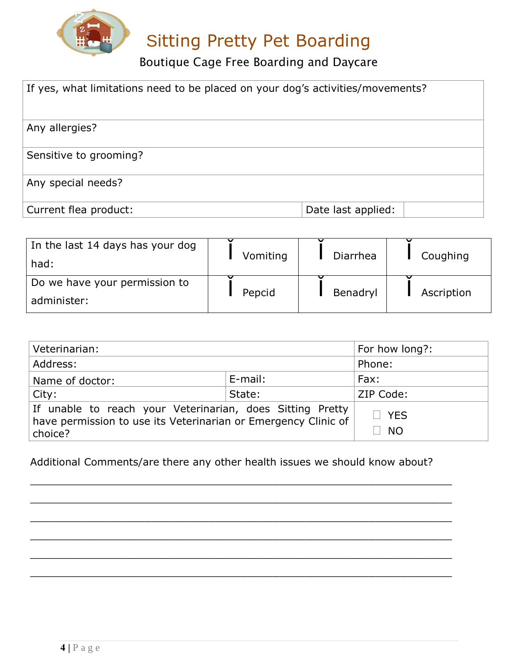

Boutique Cage Free Boarding and Daycare

| If yes, what limitations need to be placed on your dog's activities/movements? |                    |  |
|--------------------------------------------------------------------------------|--------------------|--|
| Any allergies?                                                                 |                    |  |
| Sensitive to grooming?                                                         |                    |  |
| Any special needs?                                                             |                    |  |
| Current flea product:                                                          | Date last applied: |  |

| In the last 14 days has your dog | Vomiting | Diarrhea | Coughing   |  |
|----------------------------------|----------|----------|------------|--|
| had:                             |          |          |            |  |
| Do we have your permission to    |          |          |            |  |
| administer:                      | Pepcid   | Benadryl | Ascription |  |

| Veterinarian:                                                                                                                          |        | For how long?: |  |
|----------------------------------------------------------------------------------------------------------------------------------------|--------|----------------|--|
| Address:                                                                                                                               |        | Phone:         |  |
| E-mail:<br>Name of doctor:                                                                                                             |        | Fax:           |  |
| City:                                                                                                                                  | State: | ZIP Code:      |  |
| If unable to reach your Veterinarian, does Sitting Pretty<br>have permission to use its Veterinarian or Emergency Clinic of<br>choice? |        | ð YES<br>ð NO  |  |

Additional Comments/are there any other health issues we should know about?

 $\_$  , and the set of the set of the set of the set of the set of the set of the set of the set of the set of the set of the set of the set of the set of the set of the set of the set of the set of the set of the set of th

 $\_$  , and the set of the set of the set of the set of the set of the set of the set of the set of the set of the set of the set of the set of the set of the set of the set of the set of the set of the set of the set of th

 $\_$  , and the set of the set of the set of the set of the set of the set of the set of the set of the set of the set of the set of the set of the set of the set of the set of the set of the set of the set of the set of th

 $\_$  , and the set of the set of the set of the set of the set of the set of the set of the set of the set of the set of the set of the set of the set of the set of the set of the set of the set of the set of the set of th

 $\_$  , and the set of the set of the set of the set of the set of the set of the set of the set of the set of the set of the set of the set of the set of the set of the set of the set of the set of the set of the set of th

\_\_\_\_\_\_\_\_\_\_\_\_\_\_\_\_\_\_\_\_\_\_\_\_\_\_\_\_\_\_\_\_\_\_\_\_\_\_\_\_\_\_\_\_\_\_\_\_\_\_\_\_\_\_\_\_\_\_\_\_\_\_\_\_\_\_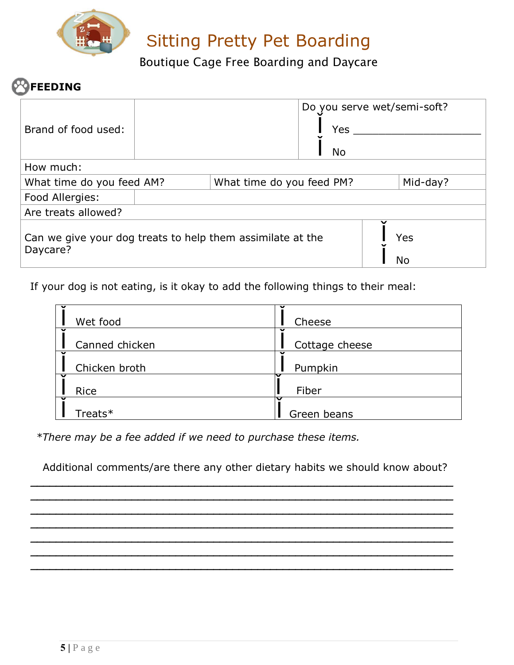

Boutique Cage Free Boarding and Daycare

## **FEEDING**

|                                                                                     |  |  | Do you serve wet/semi-soft? |          |  |
|-------------------------------------------------------------------------------------|--|--|-----------------------------|----------|--|
| Brand of food used:                                                                 |  |  | Yes                         |          |  |
|                                                                                     |  |  | No.                         |          |  |
| How much:                                                                           |  |  |                             |          |  |
| What time do you feed AM?<br>What time do you feed PM?                              |  |  |                             | Mid-day? |  |
| Food Allergies:                                                                     |  |  |                             |          |  |
| Are treats allowed?                                                                 |  |  |                             |          |  |
| Can we give your dog treats to help them assimilate at the<br>Yes<br>Daycare?<br>No |  |  |                             |          |  |

If your dog is not eating, is it okay to add the following things to their meal:

| Wet food       | Cheese         |
|----------------|----------------|
| Canned chicken | Cottage cheese |
| Chicken broth  | Pumpkin        |
| Rice           | Fiber          |
| Treats*        | Green beans    |

*\*There may be a fee added if we need to purchase these items.*

Additional comments/are there any other dietary habits we should know about?

**\_\_\_\_\_\_\_\_\_\_\_\_\_\_\_\_\_\_\_\_\_\_\_\_\_\_\_\_\_\_\_\_\_\_\_\_\_\_\_\_\_\_\_\_\_\_\_\_\_\_\_\_\_\_\_\_\_\_\_\_\_\_\_\_\_\_\_**

**\_\_\_\_\_\_\_\_\_\_\_\_\_\_\_\_\_\_\_\_\_\_\_\_\_\_\_\_\_\_\_\_\_\_\_\_\_\_\_\_\_\_\_\_\_\_\_\_\_\_\_\_\_\_\_\_\_\_\_\_\_\_\_\_\_\_\_ \_\_\_\_\_\_\_\_\_\_\_\_\_\_\_\_\_\_\_\_\_\_\_\_\_\_\_\_\_\_\_\_\_\_\_\_\_\_\_\_\_\_\_\_\_\_\_\_\_\_\_\_\_\_\_\_\_\_\_\_\_\_\_\_\_\_\_ \_\_\_\_\_\_\_\_\_\_\_\_\_\_\_\_\_\_\_\_\_\_\_\_\_\_\_\_\_\_\_\_\_\_\_\_\_\_\_\_\_\_\_\_\_\_\_\_\_\_\_\_\_\_\_\_\_\_\_\_\_\_\_\_\_\_\_**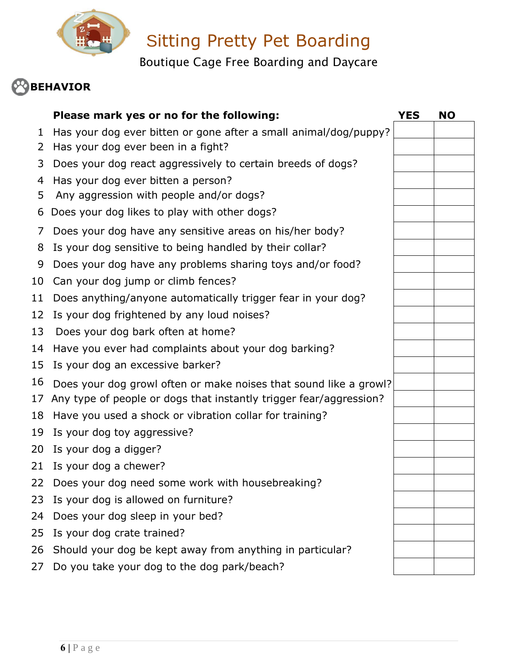

Boutique Cage Free Boarding and Daycare

# **BEHAVIOR**

|    | Please mark yes or no for the following:                           | YES | <b>NO</b> |
|----|--------------------------------------------------------------------|-----|-----------|
| 1  | Has your dog ever bitten or gone after a small animal/dog/puppy?   |     |           |
| 2  | Has your dog ever been in a fight?                                 |     |           |
| 3  | Does your dog react aggressively to certain breeds of dogs?        |     |           |
| 4  | Has your dog ever bitten a person?                                 |     |           |
| 5  | Any aggression with people and/or dogs?                            |     |           |
| 6  | Does your dog likes to play with other dogs?                       |     |           |
| 7  | Does your dog have any sensitive areas on his/her body?            |     |           |
| 8  | Is your dog sensitive to being handled by their collar?            |     |           |
| 9  | Does your dog have any problems sharing toys and/or food?          |     |           |
| 10 | Can your dog jump or climb fences?                                 |     |           |
| 11 | Does anything/anyone automatically trigger fear in your dog?       |     |           |
| 12 | Is your dog frightened by any loud noises?                         |     |           |
| 13 | Does your dog bark often at home?                                  |     |           |
| 14 | Have you ever had complaints about your dog barking?               |     |           |
| 15 | Is your dog an excessive barker?                                   |     |           |
| 16 | Does your dog growl often or make noises that sound like a growl?  |     |           |
| 17 | Any type of people or dogs that instantly trigger fear/aggression? |     |           |
| 18 | Have you used a shock or vibration collar for training?            |     |           |
| 19 | Is your dog toy aggressive?                                        |     |           |
| 20 | Is your dog a digger?                                              |     |           |
| 21 | Is your dog a chewer?                                              |     |           |
| 22 | Does your dog need some work with housebreaking?                   |     |           |
| 23 | Is your dog is allowed on furniture?                               |     |           |
| 24 | Does your dog sleep in your bed?                                   |     |           |
| 25 | Is your dog crate trained?                                         |     |           |
| 26 | Should your dog be kept away from anything in particular?          |     |           |
| 27 | Do you take your dog to the dog park/beach?                        |     |           |
|    |                                                                    |     |           |